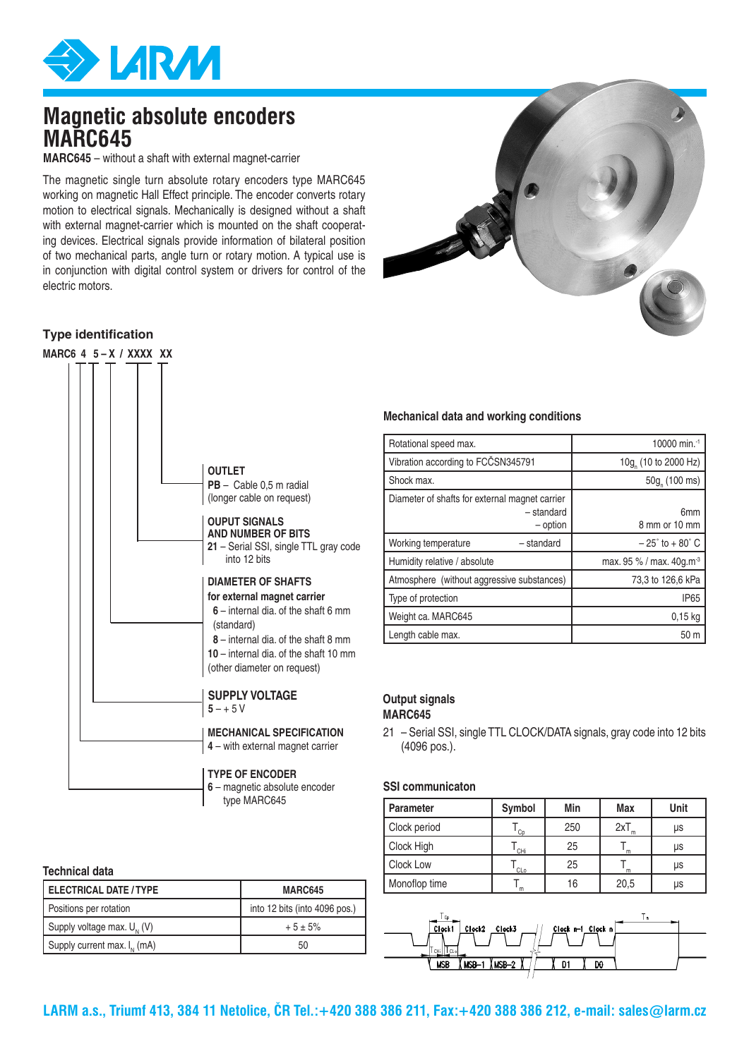

## **Magnetic absolute encoders MARC645**

**MARC645** – without a shaft with external magnet-carrier

The magnetic single turn absolute rotary encoders type MARC645 working on magnetic Hall Effect principle. The encoder converts rotary motion to electrical signals. Mechanically is designed without a shaft with external magnet-carrier which is mounted on the shaft cooperating devices. Electrical signals provide information of bilateral position of two mechanical parts, angle turn or rotary motion. A typical use is in conjunction with digital control system or drivers for control of the electric motors.



#### **Type identification**

| MARC6 4 $5 - X / XXXX$ XX |                                                                                                                                                                                                                              |
|---------------------------|------------------------------------------------------------------------------------------------------------------------------------------------------------------------------------------------------------------------------|
|                           | <b>OUTLET</b><br>$PB -$ Cable 0.5 m radial<br>(longer cable on request)                                                                                                                                                      |
|                           | <b>OUPUT SIGNALS</b><br><b>AND NUMBER OF BITS</b><br>21 – Serial SSI, single TTL gray code<br>into 12 bits                                                                                                                   |
|                           | <b>DIAMETER OF SHAFTS</b><br>for external magnet carrier<br>6 - internal dia, of the shaft 6 mm<br>(standard)<br>8 - internal dia, of the shaft 8 mm<br>10 - internal dia, of the shaft 10 mm<br>(other diameter on request) |
|                           | <b>SUPPLY VOLTAGE</b><br>$5 - + 5V$                                                                                                                                                                                          |
|                           | <b>MECHANICAL SPECIFICATION</b><br>4 - with external magnet carrier                                                                                                                                                          |
|                           | <b>TYPE OF ENCODER</b><br>6 - magnetic absolute encoder<br>type MARC645                                                                                                                                                      |

#### **Technical data**

| <b>ELECTRICAL DATE / TYPE</b>    | MARC645                       |  |  |
|----------------------------------|-------------------------------|--|--|
| Positions per rotation           | into 12 bits (into 4096 pos.) |  |  |
| Supply voltage max. $U_{N}$ (V)  | $+5 \pm 5\%$                  |  |  |
| Supply current max. $I_{N}$ (mA) | 50                            |  |  |

#### **Mechanical data and working conditions**

| Rotational speed max.                                                    | 10000 min. <sup>-1</sup>             |  |  |
|--------------------------------------------------------------------------|--------------------------------------|--|--|
| Vibration according to FCČSN345791                                       | 10g (10 to 2000 Hz)                  |  |  |
| Shock max.                                                               | 50g (100 ms)                         |  |  |
| Diameter of shafts for external magnet carrier<br>- standard<br>- option | 6mm<br>8 mm or 10 mm                 |  |  |
| Working temperature<br>- standard                                        | $-25^\circ$ to $+80^\circ$ C         |  |  |
| Humidity relative / absolute                                             | max. 95 % / max. 40g.m <sup>-3</sup> |  |  |
| Atmosphere (without aggressive substances)                               | 73.3 to 126.6 kPa                    |  |  |
| Type of protection                                                       | <b>IP65</b>                          |  |  |
| Weight ca. MARC645                                                       | $0,15$ kg                            |  |  |
| Length cable max.                                                        | 50 m                                 |  |  |

#### **Output signals MARC645**

21 – Serial SSI, single TTL CLOCK/DATA signals, gray code into 12 bits (4096 pos.).

#### **SSI communicaton**

| <b>Parameter</b> | Symbol | Min | Max  | Unit |
|------------------|--------|-----|------|------|
| Clock period     | Co     | 250 | 2xT  | μs   |
| Clock High       | CHi    | 25  | m    | μs   |
| Clock Low        | CLo    | 25  | m    | μs   |
| Monoflop time    | m      | 16  | 20,5 | μs   |